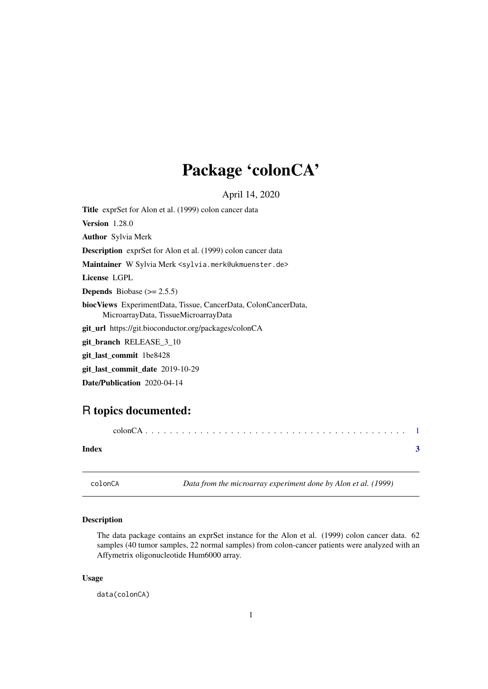## <span id="page-0-0"></span>Package 'colonCA'

April 14, 2020

Title exprSet for Alon et al. (1999) colon cancer data Version 1.28.0 Author Sylvia Merk Description exprSet for Alon et al. (1999) colon cancer data Maintainer W Sylvia Merk <sylvia.merk@ukmuenster.de> License LGPL **Depends** Biobase  $(>= 2.5.5)$ biocViews ExperimentData, Tissue, CancerData, ColonCancerData, MicroarrayData, TissueMicroarrayData git\_url https://git.bioconductor.org/packages/colonCA git\_branch RELEASE\_3\_10 git\_last\_commit 1be8428 git\_last\_commit\_date 2019-10-29 Date/Publication 2020-04-14

### R topics documented:

| Index |  |
|-------|--|

colonCA *Data from the microarray experiment done by Alon et al. (1999)*

#### Description

The data package contains an exprSet instance for the Alon et al. (1999) colon cancer data. 62 samples (40 tumor samples, 22 normal samples) from colon-cancer patients were analyzed with an Affymetrix oligonucleotide Hum6000 array.

#### Usage

data(colonCA)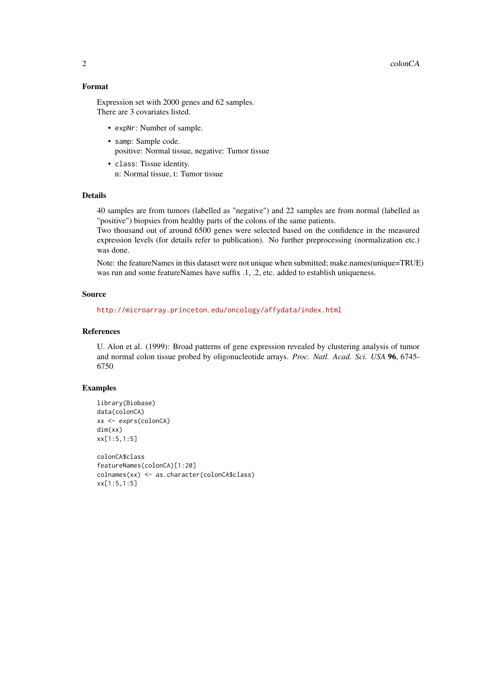2 colonCA

#### Format

Expression set with 2000 genes and 62 samples. There are 3 covariates listed.

- expNr: Number of sample.
- samp: Sample code. positive: Normal tissue, negative: Tumor tissue
- class: Tissue identity. n: Normal tissue, t: Tumor tissue

#### Details

40 samples are from tumors (labelled as "negative") and 22 samples are from normal (labelled as "positive") biopsies from healthy parts of the colons of the same patients.

Two thousand out of around 6500 genes were selected based on the confidence in the measured expression levels (for details refer to publication). No further preprocessing (normalization etc.) was done.

Note: the featureNames in this dataset were not unique when submitted; make.names(unique=TRUE) was run and some featureNames have suffix .1, .2, etc. added to establish uniqueness.

#### Source

<http://microarray.princeton.edu/oncology/affydata/index.html>

#### References

U. Alon et al. (1999): Broad patterns of gene expression revealed by clustering analysis of tumor and normal colon tissue probed by oligonucleotide arrays. *Proc. Natl. Acad. Sci. USA* 96, 6745- 6750

#### Examples

```
library(Biobase)
data(colonCA)
xx <- exprs(colonCA)
dim(xx)
xx[1:5,1:5]
colonCA$class
featureNames(colonCA)[1:20]
colnames(xx) <- as.character(colonCA$class)
xx[1:5,1:5]
```